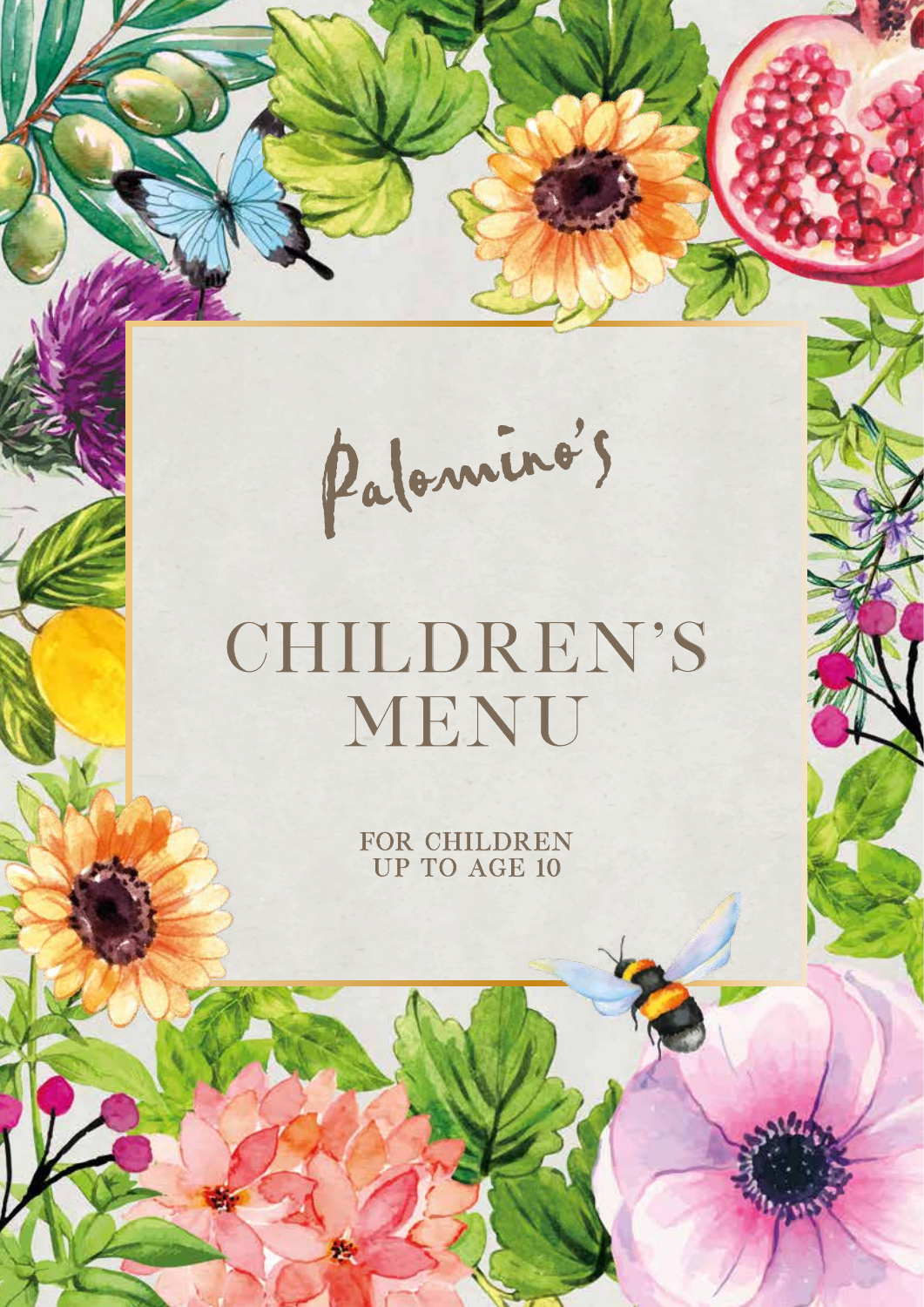Palomino's

# CHILDREN'S MENU

FOR CHILDREN UP TO AGE 10